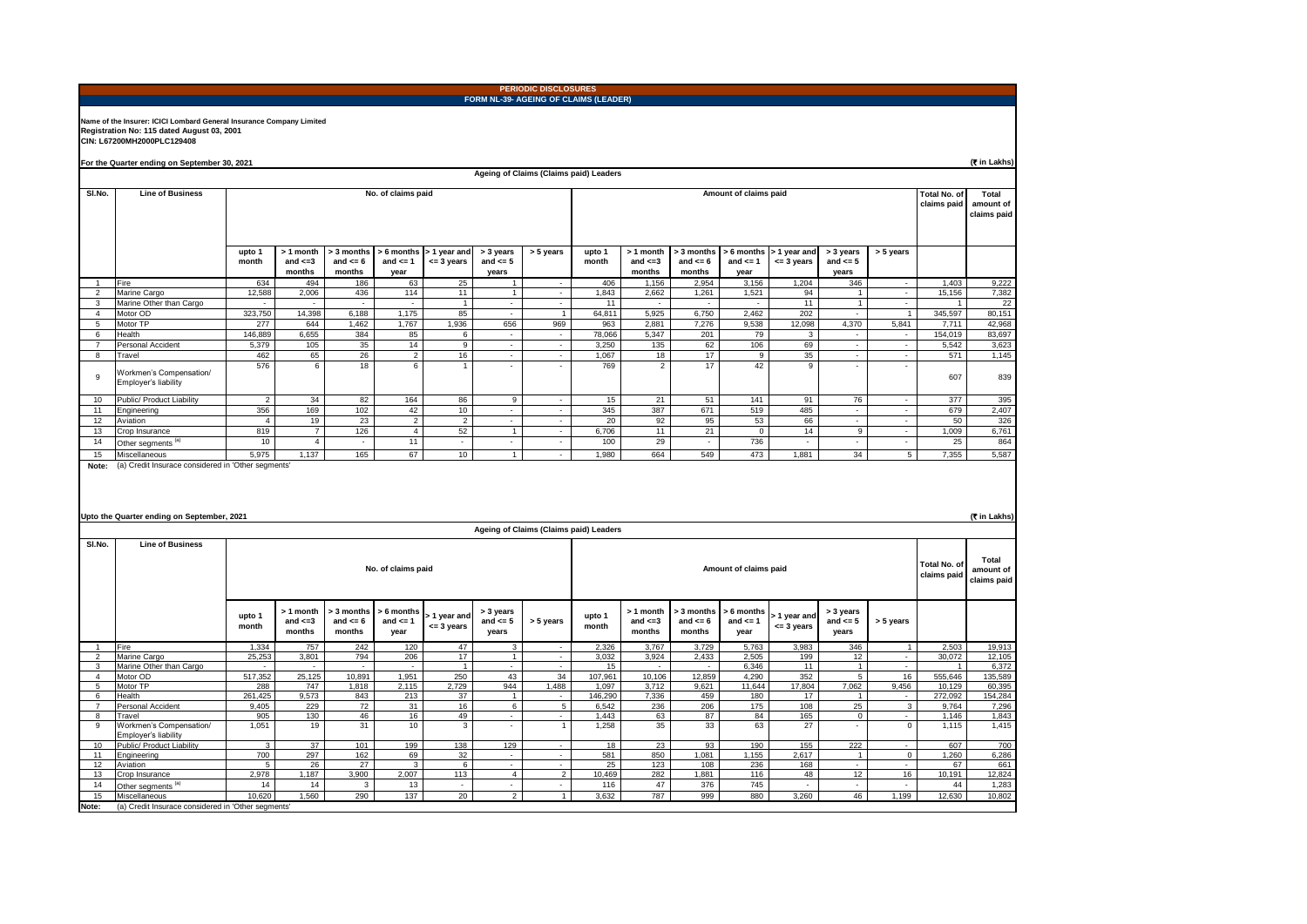|                     | <b>PERIODIC DISCLOSURES</b><br>FORM NL-39- AGEING OF CLAIMS (LEADER)                                                                             |                                                                            |                                      |                                      |                                  |                                        |                                    |                                        |                 |                                      |                                      |                                     |                             |                                    |                                          |                        |                 |
|---------------------|--------------------------------------------------------------------------------------------------------------------------------------------------|----------------------------------------------------------------------------|--------------------------------------|--------------------------------------|----------------------------------|----------------------------------------|------------------------------------|----------------------------------------|-----------------|--------------------------------------|--------------------------------------|-------------------------------------|-----------------------------|------------------------------------|------------------------------------------|------------------------|-----------------|
|                     | Name of the Insurer: ICICI Lombard General Insurance Company Limited<br>Registration No: 115 dated August 03, 2001<br>CIN: L67200MH2000PLC129408 |                                                                            |                                      |                                      |                                  |                                        |                                    |                                        |                 |                                      |                                      |                                     |                             |                                    |                                          |                        |                 |
|                     | For the Quarter ending on September 30, 2021                                                                                                     |                                                                            |                                      |                                      |                                  |                                        |                                    |                                        |                 |                                      |                                      |                                     |                             |                                    |                                          |                        | (T in Lakhs)    |
|                     |                                                                                                                                                  |                                                                            |                                      |                                      |                                  |                                        |                                    | Ageing of Claims (Claims paid) Leaders |                 |                                      |                                      |                                     |                             |                                    |                                          |                        |                 |
| SI.No.              | <b>Line of Business</b>                                                                                                                          | No. of claims paid<br>Amount of claims paid                                |                                      |                                      |                                  |                                        |                                    |                                        |                 |                                      |                                      |                                     |                             | <b>Total No. of</b><br>claims paid | <b>Total</b><br>amount of<br>claims paid |                        |                 |
|                     |                                                                                                                                                  | upto 1<br>month                                                            | > 1 month<br>and $\leq$ =3<br>months | > 3 months<br>and $\leq 6$<br>months | and $\leq 1$<br>year             | > 6 months > 1 year and<br>$= 3$ years | > 3 years<br>and $\leq 5$<br>years | > 5 years                              | upto 1<br>month | > 1 month<br>and $\leq$ =3<br>months | > 3 months<br>and $\leq 6$<br>months | > 6 months<br>and $\leq$ =1<br>vear | > 1 year and<br>$= 3$ years | > 3 years<br>and $\leq 5$<br>years | > 5 years                                |                        |                 |
|                     | Fire                                                                                                                                             | 634                                                                        | 494                                  | 186                                  | 63                               | 25                                     |                                    | $\mathcal{L}$                          | 406             | 1,156                                | 2,954                                | 3,156                               | 1,204                       | 346                                | $\sim$                                   | 1,403                  | 9,222           |
| $\overline{2}$      | Marine Cargo<br>Marine Other than Cargo                                                                                                          | 12,588                                                                     | 2,006                                | 436                                  | 114                              | 11                                     |                                    |                                        | 1,843<br>11     | 2,662                                | 1,261                                | 1,521                               | 94<br>11                    | $\overline{1}$<br>$\mathbf{1}$     | $\sim$                                   | 15,156                 | 7,382<br>22     |
| 3<br>$\overline{4}$ | Motor OD                                                                                                                                         | 323,750                                                                    | 14,398                               | 6,188                                | 1,175                            | $\mathbf{1}$<br>85                     |                                    | $\mathbf{1}$                           | 64,811          | 5,925                                | 6,750                                | 2,462                               | 202                         | $\sim$                             | $\mathbf{1}$                             | 345,597                | 80,151          |
| $\overline{5}$      | Motor TP                                                                                                                                         | 277                                                                        | 644                                  | 1,462                                | 1,767                            | 1,936                                  | 656                                | 969                                    | 963             | 2,881                                | 7,276                                | 9,538                               | 12,098                      | 4,370                              | 5,841                                    | 7,711                  | 42,968          |
| 6                   | Health                                                                                                                                           | 146,889                                                                    | 6,655                                | 384                                  | 85                               | 6                                      | $\sim$                             | $\sim$                                 | 78,066          | 5,347                                | 201                                  | 79                                  | 3                           | $\sim$                             | $\sim$                                   | 154,019                | 83,697          |
| $\overline{7}$      | Personal Accident                                                                                                                                | 5.379                                                                      | 105                                  | 35                                   | 14                               | 9                                      | $\sim$                             | $\sim$                                 | 3.250           | 135                                  | 62                                   | 106                                 | 69                          | $\sim$                             | $\sim$                                   | 5.542                  | 3,623           |
| 8                   | Travel                                                                                                                                           | 462                                                                        | 65                                   | 26                                   | $\overline{2}$                   | 16                                     | ÷                                  | τ                                      | 1,067           | 18                                   | 17                                   | 9                                   | 35                          | ÷                                  | ÷                                        | 571                    | 1,145           |
| 9                   | Workmen's Compensation/<br>Employer's liability                                                                                                  | 576                                                                        | 6                                    | 18                                   | 6                                |                                        |                                    | $\overline{\phantom{a}}$               | 769             | $\overline{2}$                       | 17                                   | 42                                  | $\mathsf g$                 | $\overline{\phantom{a}}$           | $\overline{\phantom{a}}$                 | 607                    | 839             |
| 10                  | Public/ Product Liability                                                                                                                        | $\overline{2}$                                                             | 34                                   | 82                                   | 164                              | 86                                     | 9                                  | $\sim$                                 | 15              | 21                                   | 51                                   | 141                                 | 91                          | 76                                 | $\sim$                                   | 377                    | 395             |
| 11                  | Engineering                                                                                                                                      | 356                                                                        | 169                                  | 102                                  | 42                               | 10                                     |                                    |                                        | 345             | 387                                  | 671                                  | 519                                 | 485                         |                                    | $\sim$                                   | 679                    | 2,407           |
| 12                  | Aviation                                                                                                                                         | $\overline{4}$                                                             | 19                                   | 23                                   | $\overline{2}$                   | $\overline{2}$                         | $\overline{\phantom{a}}$           | $\overline{\phantom{a}}$               | 20              | 92                                   | 95                                   | 53                                  | 66                          | $\sim$                             | $\overline{\phantom{a}}$                 | 50                     | 326             |
| 13                  | Crop Insurance                                                                                                                                   | 819                                                                        | $\overline{7}$                       | 126                                  | $\overline{4}$                   | 52                                     | $\mathbf{1}$                       | $\sim$                                 | 6,706           | 11                                   | 21                                   | $\mathbf 0$                         | 14                          | $\overline{9}$                     | $\sim$                                   | 1,009                  | 6,761           |
| 14                  | Other segments                                                                                                                                   | 10                                                                         | $\overline{4}$                       | $\overline{\phantom{a}}$             | 11                               | $\overline{\phantom{a}}$               | $\overline{\phantom{a}}$           | $\sim$                                 | 100             | 29                                   | $\sim$                               | 736                                 | $\sim$                      | $\sim$                             | $\sim$                                   | 25                     | 864             |
| 15<br>Note:         | Miscellaneous<br>(a) Credit Insurace considered in 'Other segments                                                                               | 5,975                                                                      | 1,137                                | 165                                  | 67                               | 10                                     | $\mathbf{1}$                       | $\overline{\phantom{a}}$               | 1,980           | 664                                  | 549                                  | 473                                 | 1,881                       | 34                                 | $\overline{5}$                           | 7,355                  | 5,587           |
|                     | Upto the Quarter ending on September, 2021<br>(रैं in Lakhs)<br>Ageing of Claims (Claims paid) Leaders                                           |                                                                            |                                      |                                      |                                  |                                        |                                    |                                        |                 |                                      |                                      |                                     |                             |                                    |                                          |                        |                 |
| SI.No.              | <b>Line of Business</b>                                                                                                                          | Total No. of<br>No. of claims paid<br>Amount of claims paid<br>claims paid |                                      |                                      |                                  |                                        |                                    |                                        |                 |                                      |                                      |                                     |                             |                                    | <b>Total</b><br>amount of<br>claims paid |                        |                 |
|                     |                                                                                                                                                  | upto 1<br>month                                                            | > 1 month<br>and $\leq$ =3<br>months | > 3 months<br>and $\leq 6$<br>months | 6 months<br>and $\leq 1$<br>year | 1 year and<br>$= 3$ years              | > 3 years<br>and $\leq 5$<br>years | > 5 years                              | upto 1<br>month | > 1 month<br>and $\leq$ =3<br>months | 3 months<br>and $\leq 6$<br>months   | 6 months<br>and $\leq 1$<br>year    | 1 year and<br>$= 3$ years   | > 3 years<br>and $\leq 5$<br>years | > 5 years                                |                        |                 |
|                     | Fire                                                                                                                                             | 1,334                                                                      | 757                                  | 242                                  | 120                              | 47                                     |                                    |                                        | 2,326           | 3,767                                | 3,729                                | 5,763                               | 3,983                       | 346                                | $\mathbf{1}$                             | 2,503                  | 19,913          |
| $\mathfrak{p}$<br>3 | Marine Cargo<br>Marine Other than Cargo                                                                                                          | 25,253<br>÷                                                                | 3,801                                | 794                                  | 206<br>$\sim$                    | 17<br>$\overline{1}$                   | $\mathbf{1}$                       | $\sim$<br>$\sim$                       | 3,032<br>15     | 3,924<br>$\sim$                      | 2,433<br>$\sim$                      | 2,505<br>6,346                      | 199<br>11                   | 12<br>$\overline{1}$               | $\sim$<br>$\sim$                         | 30,072<br>$\mathbf{1}$ | 12,105<br>6,372 |
| $\overline{4}$      | Motor OD                                                                                                                                         | 517,352                                                                    | 25,125                               | 10,891                               | 1,951                            | 250                                    | 43                                 | 34                                     | 107,961         | 10,106                               | 12,859                               | 4,290                               | 352                         | 5                                  | 16                                       | 555,646                | 135,589         |
| $5\overline{5}$     | Motor TP                                                                                                                                         | 288                                                                        | 747                                  | 1,818                                | 2,115                            | 2,729                                  | 944                                | 1,488                                  | 1,097           | 3,712                                | 9,621                                | 11,644                              | 17,804                      | 7,062                              | 9,456                                    | 10,129                 | 60,395          |
| 6                   | Health                                                                                                                                           | 261,425                                                                    | 9,573                                | 843                                  | 213                              | 37                                     | $\blacktriangleleft$               | ÷                                      | 146,290         | 7,336                                | 459                                  | 180                                 | 17                          | $\overline{1}$                     | $\sim$                                   | 272,092                | 154,284         |
| $\overline{7}$      | Personal Accident                                                                                                                                | 9.405                                                                      | 229                                  | 72                                   | 31                               | 16                                     | 6                                  | 5                                      | 6.542           | 236                                  | 206                                  | 175                                 | 108                         | 25                                 | $\mathbf{3}$                             | 9.764                  | 7.296           |
| 8<br>9              | Travel<br>Workmen's Compensation/<br>Employer's liability                                                                                        | 905<br>1,051                                                               | 130<br>19                            | 46<br>31                             | 16<br>10                         | 49<br>$\mathbf{3}$                     |                                    | ÷<br>$\overline{1}$                    | 1.443<br>1,258  | 63<br>35                             | 87<br>33                             | 84<br>63                            | 165<br>27                   | $\mathbf{0}$<br>٠                  | $\sim$<br>$\overline{0}$                 | 1.146<br>1,115         | 1.843<br>1,415  |
| 10                  | Public/ Product Liability                                                                                                                        | $\mathbf{\hat{z}}$                                                         | 37                                   | 101                                  | 199                              | 138                                    | 129                                |                                        | 18              | 23                                   | 93                                   | 190                                 | 155                         | 222                                |                                          | 607                    | 700             |
| 11                  | Engineering                                                                                                                                      | 700                                                                        | 297                                  | 162<br>27                            | 69<br>$\overline{3}$             | 32                                     | $\sim$                             | ÷<br>÷,                                | 581<br>25       | 850<br>123                           | 1.081                                | 1.155<br>236                        | 2.617                       | $\overline{1}$                     | $\mathbf{0}$                             | 1,260                  | 6,286           |
| 12<br>13            | Aviation<br>Crop Insurance                                                                                                                       | 5<br>2.978                                                                 | 26<br>1.187                          | 3.900                                | 2.007                            | 6<br>113                               | $\overline{4}$                     | $\overline{2}$                         | 10,469          | 282                                  | 108<br>1.881                         | 116                                 | 168<br>48                   | $\sim$<br>12                       | ÷<br>16                                  | 67<br>10.191           | 661<br>12,824   |
| 14                  | Other segments <sup>(a)</sup>                                                                                                                    | 14                                                                         | 14                                   | 3                                    | 13                               |                                        |                                    | ÷,                                     | 116             | 47                                   | 376                                  | 745                                 | ÷                           | $\sim$                             | $\sim$                                   | 44                     | 1,283           |
| 15                  | Miscellaneous                                                                                                                                    | 10,620                                                                     | 1,560                                | 290                                  | 137                              | 20                                     | $\overline{2}$                     | 1                                      | 3,632           | 787                                  | 999                                  | 880                                 | 3,260                       | 46                                 | 1,199                                    | 12,630                 | 10,802          |
| Note:               | (a) Credit Insurace considered in 'Other segments'                                                                                               |                                                                            |                                      |                                      |                                  |                                        |                                    |                                        |                 |                                      |                                      |                                     |                             |                                    |                                          |                        |                 |